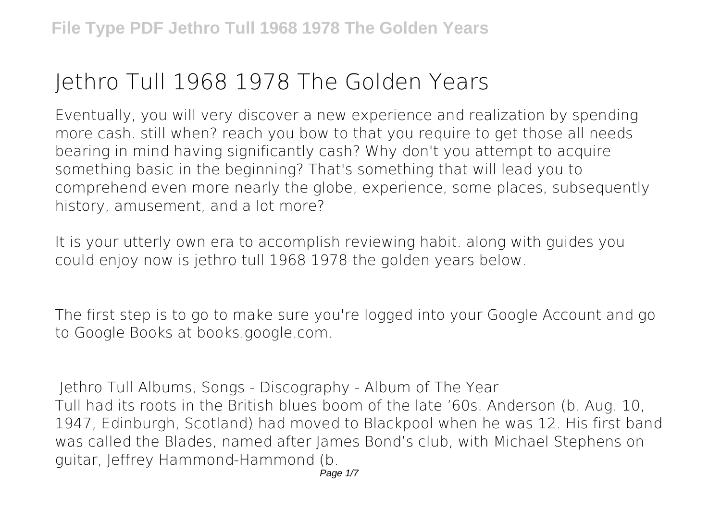## **Jethro Tull 1968 1978 The Golden Years**

Eventually, you will very discover a new experience and realization by spending more cash. still when? reach you bow to that you require to get those all needs bearing in mind having significantly cash? Why don't you attempt to acquire something basic in the beginning? That's something that will lead you to comprehend even more nearly the globe, experience, some places, subsequently history, amusement, and a lot more?

It is your utterly own era to accomplish reviewing habit. along with guides you could enjoy now is **jethro tull 1968 1978 the golden years** below.

The first step is to go to make sure you're logged into your Google Account and go to Google Books at books.google.com.

**Jethro Tull Albums, Songs - Discography - Album of The Year** Tull had its roots in the British blues boom of the late '60s. Anderson (b. Aug. 10, 1947, Edinburgh, Scotland) had moved to Blackpool when he was 12. His first band was called the Blades, named after James Bond's club, with Michael Stephens on guitar, Jeffrey Hammond-Hammond (b.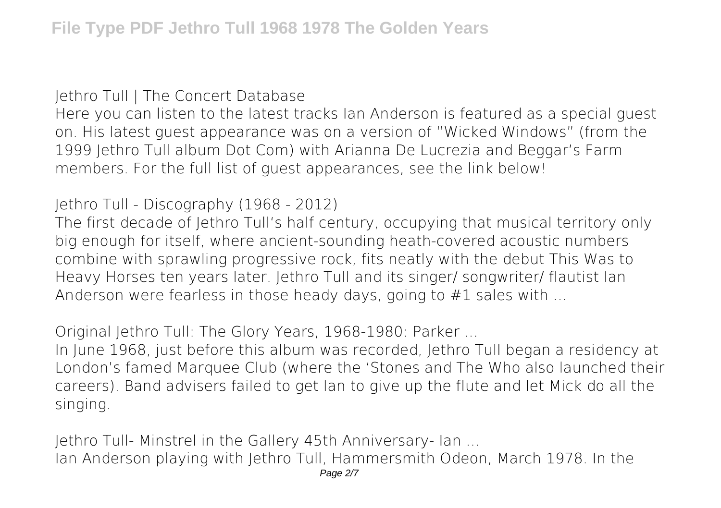**Jethro Tull | The Concert Database**

Here you can listen to the latest tracks Ian Anderson is featured as a special guest on. His latest guest appearance was on a version of "Wicked Windows" (from the 1999 Jethro Tull album Dot Com) with Arianna De Lucrezia and Beggar's Farm members. For the full list of guest appearances, see the link below!

**Jethro Tull - Discography (1968 - 2012)**

The first decade of Jethro Tull's half century, occupying that musical territory only big enough for itself, where ancient-sounding heath-covered acoustic numbers combine with sprawling progressive rock, fits neatly with the debut This Was to Heavy Horses ten years later. Jethro Tull and its singer/ songwriter/ flautist Ian Anderson were fearless in those heady days, going to #1 sales with ...

**Original Jethro Tull: The Glory Years, 1968-1980: Parker ...**

In June 1968, just before this album was recorded, Jethro Tull began a residency at London's famed Marquee Club (where the 'Stones and The Who also launched their careers). Band advisers failed to get Ian to give up the flute and let Mick do all the singing.

**Jethro Tull- Minstrel in the Gallery 45th Anniversary- Ian ...** Ian Anderson playing with Jethro Tull, Hammersmith Odeon, March 1978. In the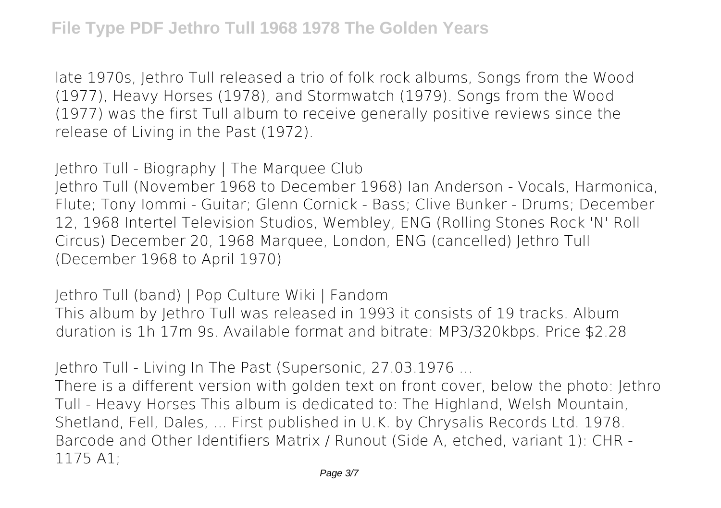late 1970s, Jethro Tull released a trio of folk rock albums, Songs from the Wood (1977), Heavy Horses (1978), and Stormwatch (1979). Songs from the Wood (1977) was the first Tull album to receive generally positive reviews since the release of Living in the Past (1972).

**Jethro Tull - Biography | The Marquee Club**

Jethro Tull (November 1968 to December 1968) Ian Anderson - Vocals, Harmonica, Flute; Tony Iommi - Guitar; Glenn Cornick - Bass; Clive Bunker - Drums; December 12, 1968 Intertel Television Studios, Wembley, ENG (Rolling Stones Rock 'N' Roll Circus) December 20, 1968 Marquee, London, ENG (cancelled) Jethro Tull (December 1968 to April 1970)

**Jethro Tull (band) | Pop Culture Wiki | Fandom** This album by Jethro Tull was released in 1993 it consists of 19 tracks. Album duration is 1h 17m 9s. Available format and bitrate: MP3/320kbps. Price \$2.28

**Jethro Tull - Living In The Past (Supersonic, 27.03.1976 ...**

There is a different version with golden text on front cover, below the photo: Jethro Tull - Heavy Horses This album is dedicated to: The Highland, Welsh Mountain, Shetland, Fell, Dales, ... First published in U.K. by Chrysalis Records Ltd. 1978. Barcode and Other Identifiers Matrix / Runout (Side A, etched, variant 1): CHR - 1175 A1;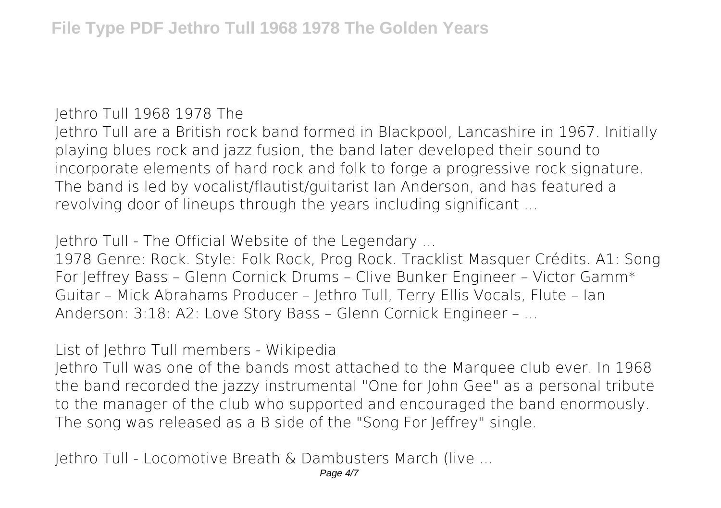**Jethro Tull 1968 1978 The**

Jethro Tull are a British rock band formed in Blackpool, Lancashire in 1967. Initially playing blues rock and jazz fusion, the band later developed their sound to incorporate elements of hard rock and folk to forge a progressive rock signature. The band is led by vocalist/flautist/guitarist Ian Anderson, and has featured a revolving door of lineups through the years including significant ...

**Jethro Tull - The Official Website of the Legendary ...**

1978 Genre: Rock. Style: Folk Rock, Prog Rock. Tracklist Masquer Crédits. A1: Song For Jeffrey Bass – Glenn Cornick Drums – Clive Bunker Engineer – Victor Gamm\* Guitar – Mick Abrahams Producer – Jethro Tull, Terry Ellis Vocals, Flute – Ian Anderson: 3:18: A2: Love Story Bass – Glenn Cornick Engineer – ...

**List of Jethro Tull members - Wikipedia**

Jethro Tull was one of the bands most attached to the Marquee club ever. In 1968 the band recorded the jazzy instrumental "One for John Gee" as a personal tribute to the manager of the club who supported and encouraged the band enormously. The song was released as a B side of the "Song For Jeffrey" single.

**Jethro Tull - Locomotive Breath & Dambusters March (live ...**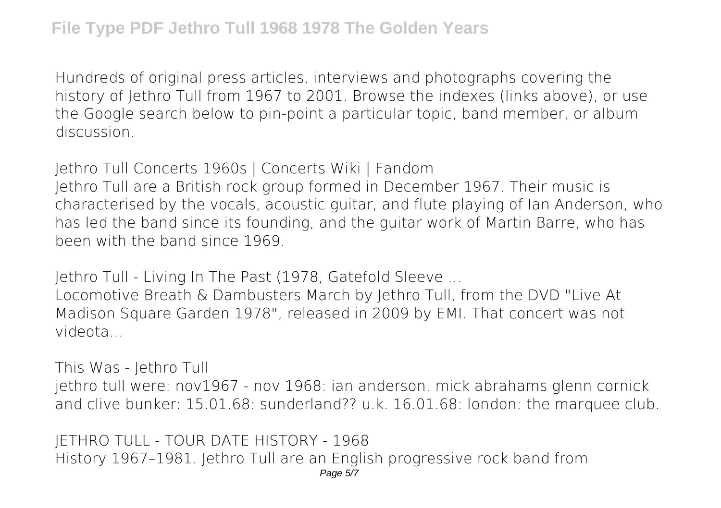Hundreds of original press articles, interviews and photographs covering the history of Jethro Tull from 1967 to 2001. Browse the indexes (links above), or use the Google search below to pin-point a particular topic, band member, or album discussion.

**Jethro Tull Concerts 1960s | Concerts Wiki | Fandom** Jethro Tull are a British rock group formed in December 1967. Their music is characterised by the vocals, acoustic guitar, and flute playing of Ian Anderson, who has led the band since its founding, and the guitar work of Martin Barre, who has

been with the band since 1969.

**Jethro Tull - Living In The Past (1978, Gatefold Sleeve ...**

Locomotive Breath & Dambusters March by Jethro Tull, from the DVD "Live At Madison Square Garden 1978", released in 2009 by EMI. That concert was not videota...

**This Was - Jethro Tull**

jethro tull were: nov1967 - nov 1968: ian anderson. mick abrahams glenn cornick and clive bunker: 15.01.68: sunderland?? u.k. 16.01.68: london: the marquee club.

**JETHRO TULL - TOUR DATE HISTORY - 1968** History 1967–1981. Jethro Tull are an English progressive rock band from Page 5/7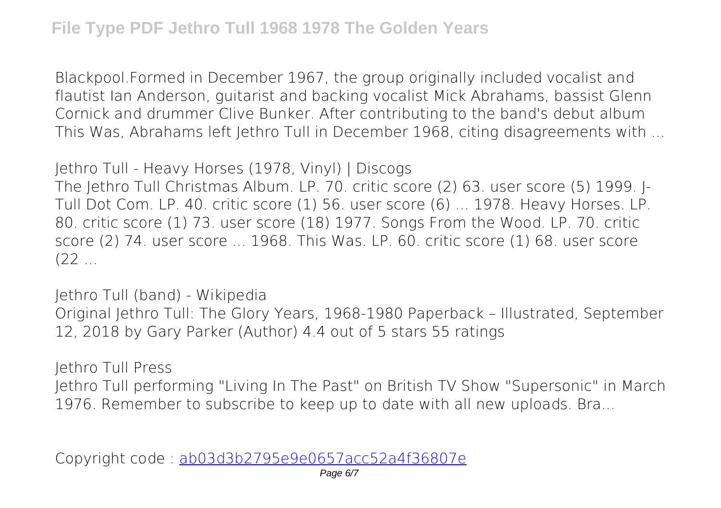Blackpool.Formed in December 1967, the group originally included vocalist and flautist Ian Anderson, guitarist and backing vocalist Mick Abrahams, bassist Glenn Cornick and drummer Clive Bunker. After contributing to the band's debut album This Was, Abrahams left Jethro Tull in December 1968, citing disagreements with ...

**Jethro Tull - Heavy Horses (1978, Vinyl) | Discogs**

The Jethro Tull Christmas Album. LP. 70. critic score (2) 63. user score (5) 1999. J-Tull Dot Com. LP. 40. critic score (1) 56. user score (6) ... 1978. Heavy Horses. LP. 80. critic score (1) 73. user score (18) 1977. Songs From the Wood. LP. 70. critic score (2) 74. user score ... 1968. This Was. LP. 60. critic score (1) 68. user score  $(22)$ 

**Jethro Tull (band) - Wikipedia** Original Jethro Tull: The Glory Years, 1968-1980 Paperback – Illustrated, September 12, 2018 by Gary Parker (Author) 4.4 out of 5 stars 55 ratings

**Jethro Tull Press**

Jethro Tull performing "Living In The Past" on British TV Show "Supersonic" in March 1976. Remember to subscribe to keep up to date with all new uploads. Bra...

Copyright code : [ab03d3b2795e9e0657acc52a4f36807e](/search-book/ab03d3b2795e9e0657acc52a4f36807e)